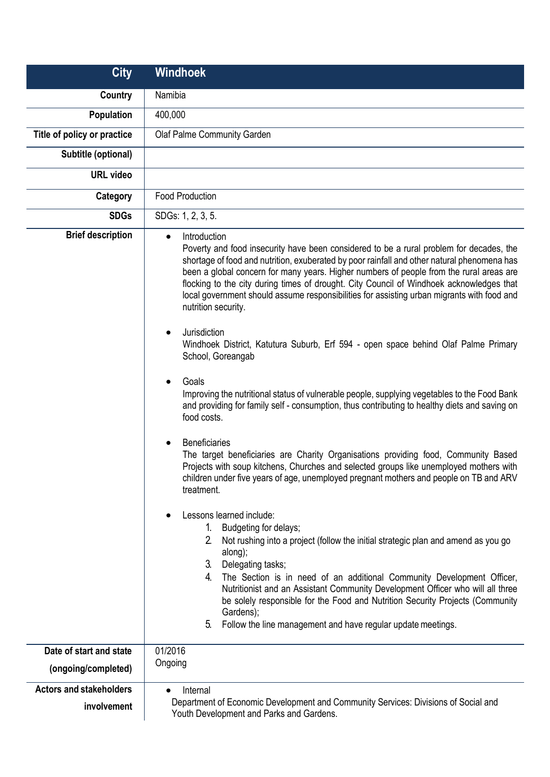| <b>City</b>                    | <b>Windhoek</b>                                                                                                                                                                                                                                                                                                                                                                                                                                                                                                                                                                                                                                                                                                                                                                                                                                                                                                                                                                                                                                                                                                                                                                                                                                                                                                                                                                                                                                                                                                                                                                                                                                                                                                                                                                                                               |
|--------------------------------|-------------------------------------------------------------------------------------------------------------------------------------------------------------------------------------------------------------------------------------------------------------------------------------------------------------------------------------------------------------------------------------------------------------------------------------------------------------------------------------------------------------------------------------------------------------------------------------------------------------------------------------------------------------------------------------------------------------------------------------------------------------------------------------------------------------------------------------------------------------------------------------------------------------------------------------------------------------------------------------------------------------------------------------------------------------------------------------------------------------------------------------------------------------------------------------------------------------------------------------------------------------------------------------------------------------------------------------------------------------------------------------------------------------------------------------------------------------------------------------------------------------------------------------------------------------------------------------------------------------------------------------------------------------------------------------------------------------------------------------------------------------------------------------------------------------------------------|
| Country                        | Namibia                                                                                                                                                                                                                                                                                                                                                                                                                                                                                                                                                                                                                                                                                                                                                                                                                                                                                                                                                                                                                                                                                                                                                                                                                                                                                                                                                                                                                                                                                                                                                                                                                                                                                                                                                                                                                       |
| Population                     | 400,000                                                                                                                                                                                                                                                                                                                                                                                                                                                                                                                                                                                                                                                                                                                                                                                                                                                                                                                                                                                                                                                                                                                                                                                                                                                                                                                                                                                                                                                                                                                                                                                                                                                                                                                                                                                                                       |
| Title of policy or practice    | Olaf Palme Community Garden                                                                                                                                                                                                                                                                                                                                                                                                                                                                                                                                                                                                                                                                                                                                                                                                                                                                                                                                                                                                                                                                                                                                                                                                                                                                                                                                                                                                                                                                                                                                                                                                                                                                                                                                                                                                   |
| Subtitle (optional)            |                                                                                                                                                                                                                                                                                                                                                                                                                                                                                                                                                                                                                                                                                                                                                                                                                                                                                                                                                                                                                                                                                                                                                                                                                                                                                                                                                                                                                                                                                                                                                                                                                                                                                                                                                                                                                               |
| <b>URL video</b>               |                                                                                                                                                                                                                                                                                                                                                                                                                                                                                                                                                                                                                                                                                                                                                                                                                                                                                                                                                                                                                                                                                                                                                                                                                                                                                                                                                                                                                                                                                                                                                                                                                                                                                                                                                                                                                               |
| Category                       | <b>Food Production</b>                                                                                                                                                                                                                                                                                                                                                                                                                                                                                                                                                                                                                                                                                                                                                                                                                                                                                                                                                                                                                                                                                                                                                                                                                                                                                                                                                                                                                                                                                                                                                                                                                                                                                                                                                                                                        |
| <b>SDGs</b>                    | SDGs: 1, 2, 3, 5.                                                                                                                                                                                                                                                                                                                                                                                                                                                                                                                                                                                                                                                                                                                                                                                                                                                                                                                                                                                                                                                                                                                                                                                                                                                                                                                                                                                                                                                                                                                                                                                                                                                                                                                                                                                                             |
| <b>Brief description</b>       | Introduction<br>$\bullet$<br>Poverty and food insecurity have been considered to be a rural problem for decades, the<br>shortage of food and nutrition, exuberated by poor rainfall and other natural phenomena has<br>been a global concern for many years. Higher numbers of people from the rural areas are<br>flocking to the city during times of drought. City Council of Windhoek acknowledges that<br>local government should assume responsibilities for assisting urban migrants with food and<br>nutrition security.<br>Jurisdiction<br>$\bullet$<br>Windhoek District, Katutura Suburb, Erf 594 - open space behind Olaf Palme Primary<br>School, Goreangab<br>Goals<br>$\bullet$<br>Improving the nutritional status of vulnerable people, supplying vegetables to the Food Bank<br>and providing for family self - consumption, thus contributing to healthy diets and saving on<br>food costs.<br><b>Beneficiaries</b><br>$\bullet$<br>The target beneficiaries are Charity Organisations providing food, Community Based<br>Projects with soup kitchens, Churches and selected groups like unemployed mothers with<br>children under five years of age, unemployed pregnant mothers and people on TB and ARV<br>treatment.<br>Lessons learned include:<br>$\bullet$<br>Budgeting for delays;<br>1.<br>2 <sup>1</sup><br>Not rushing into a project (follow the initial strategic plan and amend as you go<br>along);<br>3 <sub>1</sub><br>Delegating tasks;<br>4.<br>The Section is in need of an additional Community Development Officer,<br>Nutritionist and an Assistant Community Development Officer who will all three<br>be solely responsible for the Food and Nutrition Security Projects (Community<br>Gardens);<br>5 <sub>1</sub><br>Follow the line management and have regular update meetings. |
| Date of start and state        | 01/2016                                                                                                                                                                                                                                                                                                                                                                                                                                                                                                                                                                                                                                                                                                                                                                                                                                                                                                                                                                                                                                                                                                                                                                                                                                                                                                                                                                                                                                                                                                                                                                                                                                                                                                                                                                                                                       |
| (ongoing/completed)            | Ongoing                                                                                                                                                                                                                                                                                                                                                                                                                                                                                                                                                                                                                                                                                                                                                                                                                                                                                                                                                                                                                                                                                                                                                                                                                                                                                                                                                                                                                                                                                                                                                                                                                                                                                                                                                                                                                       |
| <b>Actors and stakeholders</b> | Internal<br>$\bullet$                                                                                                                                                                                                                                                                                                                                                                                                                                                                                                                                                                                                                                                                                                                                                                                                                                                                                                                                                                                                                                                                                                                                                                                                                                                                                                                                                                                                                                                                                                                                                                                                                                                                                                                                                                                                         |
| involvement                    | Department of Economic Development and Community Services: Divisions of Social and<br>Youth Development and Parks and Gardens.                                                                                                                                                                                                                                                                                                                                                                                                                                                                                                                                                                                                                                                                                                                                                                                                                                                                                                                                                                                                                                                                                                                                                                                                                                                                                                                                                                                                                                                                                                                                                                                                                                                                                                |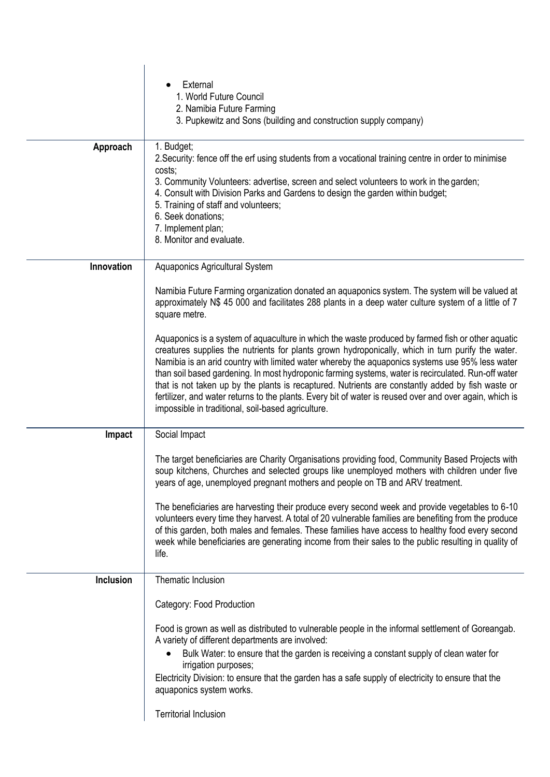|                  | External                                                                                                                                                                                                     |
|------------------|--------------------------------------------------------------------------------------------------------------------------------------------------------------------------------------------------------------|
|                  | 1. World Future Council<br>2. Namibia Future Farming                                                                                                                                                         |
|                  | 3. Pupkewitz and Sons (building and construction supply company)                                                                                                                                             |
|                  |                                                                                                                                                                                                              |
| Approach         | 1. Budget;<br>2. Security: fence off the erf using students from a vocational training centre in order to minimise                                                                                           |
|                  | costs;                                                                                                                                                                                                       |
|                  | 3. Community Volunteers: advertise, screen and select volunteers to work in the garden;<br>4. Consult with Division Parks and Gardens to design the garden within budget;                                    |
|                  | 5. Training of staff and volunteers;                                                                                                                                                                         |
|                  | 6. Seek donations;                                                                                                                                                                                           |
|                  | 7. Implement plan;<br>8. Monitor and evaluate.                                                                                                                                                               |
|                  |                                                                                                                                                                                                              |
| Innovation       | Aquaponics Agricultural System                                                                                                                                                                               |
|                  | Namibia Future Farming organization donated an aquaponics system. The system will be valued at                                                                                                               |
|                  | approximately N\$ 45 000 and facilitates 288 plants in a deep water culture system of a little of 7<br>square metre.                                                                                         |
|                  |                                                                                                                                                                                                              |
|                  | Aquaponics is a system of aquaculture in which the waste produced by farmed fish or other aquatic<br>creatures supplies the nutrients for plants grown hydroponically, which in turn purify the water.       |
|                  | Namibia is an arid country with limited water whereby the aquaponics systems use 95% less water                                                                                                              |
|                  | than soil based gardening. In most hydroponic farming systems, water is recirculated. Run-off water                                                                                                          |
|                  | that is not taken up by the plants is recaptured. Nutrients are constantly added by fish waste or<br>fertilizer, and water returns to the plants. Every bit of water is reused over and over again, which is |
|                  | impossible in traditional, soil-based agriculture.                                                                                                                                                           |
| Impact           | Social Impact                                                                                                                                                                                                |
|                  |                                                                                                                                                                                                              |
|                  | The target beneficiaries are Charity Organisations providing food, Community Based Projects with                                                                                                             |
|                  | soup kitchens, Churches and selected groups like unemployed mothers with children under five<br>years of age, unemployed pregnant mothers and people on TB and ARV treatment.                                |
|                  |                                                                                                                                                                                                              |
|                  | The beneficiaries are harvesting their produce every second week and provide vegetables to 6-10<br>volunteers every time they harvest. A total of 20 vulnerable families are benefiting from the produce     |
|                  | of this garden, both males and females. These families have access to healthy food every second                                                                                                              |
|                  | week while beneficiaries are generating income from their sales to the public resulting in quality of<br>life.                                                                                               |
|                  |                                                                                                                                                                                                              |
| <b>Inclusion</b> | Thematic Inclusion                                                                                                                                                                                           |
|                  | Category: Food Production                                                                                                                                                                                    |
|                  |                                                                                                                                                                                                              |
|                  | Food is grown as well as distributed to vulnerable people in the informal settlement of Goreangab.<br>A variety of different departments are involved:                                                       |
|                  | Bulk Water: to ensure that the garden is receiving a constant supply of clean water for                                                                                                                      |
|                  | irrigation purposes;                                                                                                                                                                                         |
|                  | Electricity Division: to ensure that the garden has a safe supply of electricity to ensure that the<br>aquaponics system works.                                                                              |
|                  |                                                                                                                                                                                                              |
|                  | <b>Territorial Inclusion</b>                                                                                                                                                                                 |